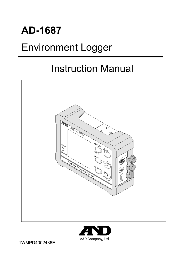### AD-1687

### Environment Logger

### Instruction Manual





1WMPD4002436E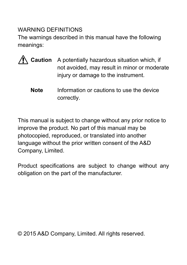#### WARNING DEFINITIONS

The warnings described in this manual have the following meanings:

- **Caution** A potentially hazardous situation which, if not avoided, may result in minor or moderate injury or damage to the instrument.
	- **Note** lnformation or cautions to use the device correctly.

This manual is subject to change without any prior notice to improve the product. No part of this manual may be photocopied, reproduced, or translated into another language without the prior written consent of the A&D Company, Limited.

Product specifications are subject to change without any obligation on the part of the manufacturer.

 $\odot$  2015 A&D Company, Limited. All rights reserved.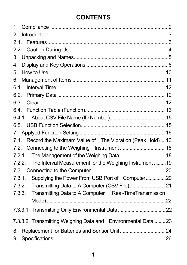### **CONTENTS**

| 1.                                                               |  |
|------------------------------------------------------------------|--|
| 2.                                                               |  |
| 2.1.                                                             |  |
|                                                                  |  |
|                                                                  |  |
| 4.                                                               |  |
| 5.                                                               |  |
| 6.                                                               |  |
| 6.1.                                                             |  |
|                                                                  |  |
| 6.3.                                                             |  |
|                                                                  |  |
|                                                                  |  |
|                                                                  |  |
|                                                                  |  |
| Record the Maximam Value of The Vibration (Peak Hold) 16<br>7.1. |  |
|                                                                  |  |
|                                                                  |  |
| 7.2.2. The Interval Measurement for the Weighing Instrument  19  |  |
|                                                                  |  |
| 7.3.1. Supplying the Power From USB Port of Computer20           |  |
| 7.3.2. Transmitting Data to A Computer (CSV File)                |  |
| 7.3.3. Transmitting Data to A Computer (Real-Time Transmission   |  |
|                                                                  |  |
|                                                                  |  |
| 7.3.3.2. Transmitting Weighing Data and Environmental Data  23   |  |
| 8.                                                               |  |
| 9.                                                               |  |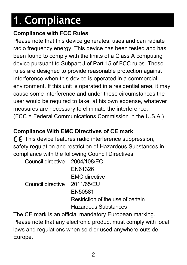# 1. Compliance

#### **Compliance with FCC Rules**

Please note that this device generates, uses and can radiate radio frequency energy. This device has been tested and has been found to comply with the limits of a Class A computing device pursuant to Subpart J of Part 15 of FCC rules. These rules are designed to provide reasonable protection against interference when this device is operated in a commercial environment. If this unit is operated in a residential area, it may cause some interference and under these circumstances the user would be required to take, at his own expense, whatever measures are necessary to eliminate the interference. (FCC = Federal Communications Commission in the U.S.A.)

#### **Compliance With EMC Directives of CE mark**

 $\mathsf{\mathsf{C}}\mathsf{\mathsf{F}}$  This device features radio interference suppression, safety regulation and restriction of Hazardous Substances in compliance with the following Council Directives

| Council directive 2004/108/EC |                                   |
|-------------------------------|-----------------------------------|
|                               | EN61326                           |
|                               | <b>EMC</b> directive              |
| Council directive 2011/65/EU  |                                   |
|                               | EN50581                           |
|                               | Restriction of the use of certain |
|                               | <b>Hazardous Substances</b>       |

The CE mark is an official mandatory European marking. Please note that any electronic product must comply with local laws and regulations when sold or used anywhere outside Europe.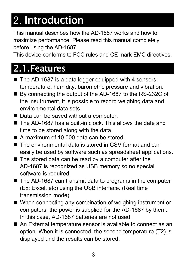# 2. Introduction

This manual describes how the AD-1687 works and how to maximize performance. Please read this manual completely before using the AD-1687.

This device conforms to FCC rules and CE mark EMC directives.

### 2.1.Features

- The AD-1687 is a data logger equipped with 4 sensors: temperature, humidity, barometric pressure and vibration.
- By connecting the output of the AD-1687 to the RS-232C of the insutrument, it is possible to record weighing data and environmental data sets.
- Data can be saved without a computer.
- The AD-1687 has a built-in clock. This allows the date and time to be stored along with the data.
- A maximum of 10,000 data can be stored.
- The environmental data is stored in CSV format and can easily be used by software such as spreadsheet applications.
- The stored data can be read by a computer after the AD-1687 is recognized as USB memory so no special software is required.
- The AD-1687 can transmit data to programs in the computer (Ex: Excel, etc) using the USB interface. (Real time transmission mode)
- When connecting any combination of weighing instrument or computers, the power is supplied for the AD-1687 by them. In this case, AD-1687 batteries are not used.
- An External temperature sensor is available to connect as an option. When it is connected, the second temperature (T2) is displayed and the results can be stored.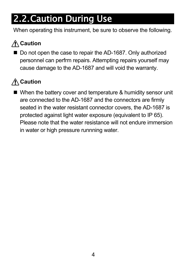### 2.2.Caution During Use

When operating this instrument, be sure to observe the following.

### **Caution**

Do not open the case to repair the AD-1687. Only authorized personnel can perfrm repairs. Attempting repairs yourself may cause damage to the AD-1687 and will void the warranty.

### **Caution**

■ When the battery cover and temperature & humidity sensor unit are connected to the AD-1687 and the connectors are firmly seated in the water resistant connector covers, the AD-1687 is protected against light water exposure (equivalent to IP 65). Please note that the water resistance will not endure immersion in water or high pressure runnning water.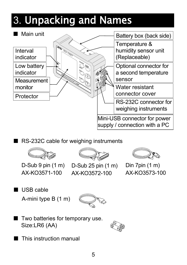# 3. Unpacking and Names



RS-232C cable for weighing instruments



D-Sub 9 pin (1 m) AX-KO3571-100



AX-KO3572-100



Din 7pin (1 m) AX-KO3573-100

USB cable A-mini type B (1 m)



Two batteries for temporary use. Size:LR6 (AA)



This instruction manual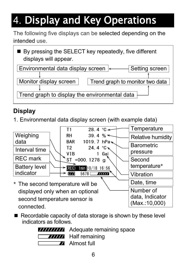# 4. Display and Key Operations

The following five displays can be selected depending on the intended use.

| displays will appear.                         | ■ By pressing the SELECT key repeatedly, five different |  |  |
|-----------------------------------------------|---------------------------------------------------------|--|--|
| Environmental data display screen  <-         | Setting screen                                          |  |  |
|                                               |                                                         |  |  |
| Monitor display screen                        | Trend graph to monitor two data                         |  |  |
|                                               |                                                         |  |  |
| Trend graph to display the environmental data |                                                         |  |  |

### **Display**

1. Environmental data display screen (with example data)



 $\blacksquare$  Recordable capacity of data storage is shown by these level indicators as follows.



Adequate remaining space Half remaining

Almost full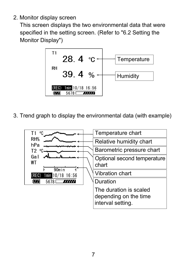2. Monitor display screen

This screen displays the two environmental data that were specified in the setting screen. (Refer to "6.2 Setting the Monitor Display")



3. Trend graph to display the environmental data (with example)

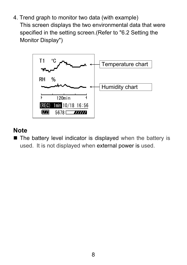4. Trend graph to monitor two data (with example) This screen displays the two environmental data that were specified in the setting screen.(Refer to "6.2 Setting the Monitor Display")



#### **Note**

The battery level indicator is displayed when the battery is used. It is not displayed when external power is used.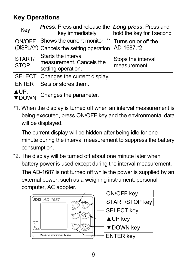### **Key Operations**

| Key                        | <b>Press:</b> Press and release the<br>key immediately                | <b>Long press: Press and</b><br>hold the key for 1 second |
|----------------------------|-----------------------------------------------------------------------|-----------------------------------------------------------|
| <b>ON/OFF</b><br>(DISPLAY) | Shows the current monitor. *1<br>Cancels the setting operation        | Turns on or off the<br>AD-1687.*2                         |
| START/<br><b>STOP</b>      | Starts the interval<br>measurement. Cancels the<br>setting operation. | Stops the interval<br>measurement                         |
| <b>SELECT</b>              | Changes the current display.                                          |                                                           |
| <b>ENTER</b>               | Sets or stores them.                                                  |                                                           |
| $\triangle$ UP,<br>DOWN    | Changes the parameter.                                                |                                                           |

*\**1. When the display is turned off when an interval measurement is being executed, press ON/OFF key and the environmental data will be displayed.

The current display will be hidden after being idle for one minute during the interval measurement to suppress the battery consumption.

\*2. The display will be turned off about one minute later when battery power is used except during the interval measurement. The AD-1687 is not turned off while the power is supplied by an external power, such as a weighing instrument, personal computer, AC adopter.

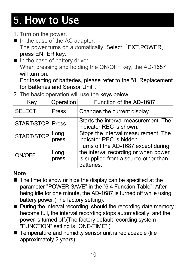# 5. How to Use

- 1. Turn on the power.
- In the case of the AC adapter: The power turns on automatically. Select 「EXT.POWER」, press ENTER key.
- $\blacksquare$  In the case of battery drive: When pressing and holding the ON/OFF key, the AD-1687 will turn on.

For inserting of batteries, please refer to the "8. Replacement for Batteries and Sensor Unit".

2. The basic operation will use the keys below

| Key                     | Operation     | Function of the AD-1687                                                                                                           |  |  |  |
|-------------------------|---------------|-----------------------------------------------------------------------------------------------------------------------------------|--|--|--|
| <b>SELECT</b>           | <b>Press</b>  | Changes the current display.                                                                                                      |  |  |  |
| <b>START/STOP Press</b> |               | Starts the interval measurement. The<br>indicator REC is shown.                                                                   |  |  |  |
| START/STOP              | Long<br>press | Stops the interval measurement. The<br>indicator REC is hidden.                                                                   |  |  |  |
| <b>ON/OFF</b>           | Long<br>press | Turns off the AD-1687 except during<br>the interval recording or when power<br>is supplied from a source other than<br>batteries. |  |  |  |

#### **Note**

- The time to show or hide the display can be specified at the parameter "POWER SAVE" in the "6.4 Function Table". After being idle for one minute, the AD-1687 is turned off while using battery power (The factory setting).
- During the interval recording, should the recording data memory become full, the interval recording stops automatically, and the power is turned off.(The factory default recording system "FUNCTION" setting is "ONE-TIME".)
- Temperature and humidity sensor unit is replaceable (life approximately 2 years).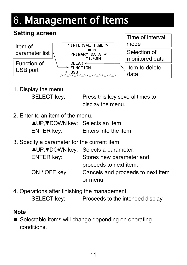# 6. Management of Items

#### **Setting screen**



1. Display the menu.

SELECT key: Press this key several times to display the menu.

2. Enter to an item of the menu.

| $\triangle$ UP, $\nabla$ DOWN key: Selects an item. |                       |
|-----------------------------------------------------|-----------------------|
| <b>ENTER key:</b>                                   | Enters into the item. |

3. Specify a parameter for the current item.

|                   | <b>AUP, VDOWN key:</b> Selects a parameter. |
|-------------------|---------------------------------------------|
| <b>ENTER key:</b> | Stores new parameter and                    |
|                   | proceeds to next item.                      |
| ON / OFF key:     | Cancels and proceeds to next item           |
|                   | or menu.                                    |

4. Operations after finishing the management.

SELECT key: Proceeds to the intended display

#### **Note**

■ Selectable items will change depending on operating conditions.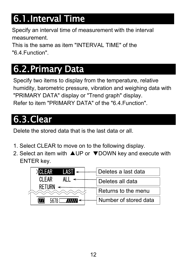### 6.1.Interval Time

Specify an interval time of measurement with the interval measurement.

This is the same as item "INTERVAL TIME" of the "6.4.Function".

### 6.2.Primary Data

Specify two items to display from the temperature, relative humidity, barometric pressure, vibration and weighing data with "PRIMARY DATA" display or "Trend graph" display. Refer to item "PRIMARY DATA" of the "6.4.Function".

### 6.3.Clear

Delete the stored data that is the last data or all.

- 1. Select CLEAR to move on to the following display.
- 2. Select an item with  $\triangle$ UP or  $\nabla$ DOWN key and execute with ENTER key.

| >CLEAR<br>LAST < | Deletes a last data   |
|------------------|-----------------------|
| CI FAR           | Deletes all data      |
| <b>RETURN</b>    | Returns to the menu   |
| <b>TITTA</b>     | Number of stored data |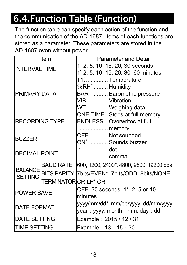### 6.4.Function Table (Function)

The function table can specify each action of the function and the communication of the AD-1687. Items of each functions are stored as a parameter. These parameters are stored in the AD-1687 even without power.

|                       | Item                 | <b>Parameter and Detail</b>                                      |  |  |
|-----------------------|----------------------|------------------------------------------------------------------|--|--|
| <b>INTERVAL TIME</b>  |                      | 1, 2, 5, 10, 15, 20, 30 seconds,                                 |  |  |
|                       |                      | 1, 2, 5, 10, 15, 20, 30, 60 minutes                              |  |  |
|                       |                      | T1* Temperature                                                  |  |  |
|                       |                      | %RH <sup>*</sup> Humidity                                        |  |  |
| <b>PRIMARY DATA</b>   |                      | <b>BAR</b> Barometric pressure                                   |  |  |
|                       |                      | VIB  Vibration                                                   |  |  |
|                       |                      | WT  Weighing data                                                |  |  |
|                       |                      | ONE-TIME <sup>*</sup> Stops at full memory                       |  |  |
| <b>RECORDING TYPE</b> |                      | <b>ENDLESS</b> Overwrites at full                                |  |  |
|                       |                      | memory                                                           |  |  |
| <b>BUZZER</b>         |                      | OFF  Not sounded                                                 |  |  |
|                       |                      | ON <sup>*</sup> Sounds buzzer                                    |  |  |
| <b>DECIMAL POINT</b>  |                      | * …………… dot                                                      |  |  |
|                       |                      | comma                                                            |  |  |
|                       |                      | BAUD RATE   600, 1200, 2400 <sup>*</sup> , 4800, 9600, 19200 bps |  |  |
|                       |                      | BALANCE BITS PARITY 7bits/EVEN*, 7bits/ODD, 8bits/NONE           |  |  |
|                       | TERMINATOR CR LF* CR |                                                                  |  |  |
|                       |                      | OFF, 30 seconds, 1 <sup>*</sup> , 2, 5 or 10                     |  |  |
| <b>POWER SAVE</b>     |                      | minutes                                                          |  |  |
|                       |                      | yyyy/mm/dd*, mm/dd/yyyy, dd/mm/yyyy                              |  |  |
| <b>DATE FORMAT</b>    |                      | year: yyyy, month: mm, day: dd                                   |  |  |
| <b>DATE SETTING</b>   |                      | Example: 2015 / 12 / 31                                          |  |  |
| <b>TIME SETTING</b>   |                      | Example: 13: 15: 30                                              |  |  |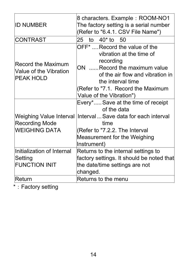| <b>ID NUMBER</b>                                                               | 8 characters. Example: ROOM-NO1<br>The factory setting is a serial number<br>(Refer to "6.4.1. CSV File Name")                                                                                                                               |  |  |  |
|--------------------------------------------------------------------------------|----------------------------------------------------------------------------------------------------------------------------------------------------------------------------------------------------------------------------------------------|--|--|--|
| <b>CONTRAST</b>                                                                | $40*$ to 50<br>25<br>to                                                                                                                                                                                                                      |  |  |  |
| <b>Record the Maximum</b><br><b>Value of the Vibration</b><br><b>PEAK HOLD</b> | OFF <sup>*</sup> Record the value of the<br>vibration at the time of<br>recording<br>ON  Record the maximum value<br>of the air flow and vibration in<br>the interval time<br>(Refer to "7.1. Record the Maximum<br>Value of the Vibration") |  |  |  |
|                                                                                | Every* Save at the time of receipt<br>of the data                                                                                                                                                                                            |  |  |  |
| <b>Recording Mode</b>                                                          | Weighing Value Interval   Interval  Save data for each interval<br>time                                                                                                                                                                      |  |  |  |
| <b>WEIGHING DATA</b>                                                           | (Refer to "7.2.2. The Interval                                                                                                                                                                                                               |  |  |  |
|                                                                                | Measurement for the Weighing<br>Instrument)                                                                                                                                                                                                  |  |  |  |
| Initialization of Internal                                                     | Returns to the internal settings to                                                                                                                                                                                                          |  |  |  |
| Setting                                                                        | factory settings. It should be noted that                                                                                                                                                                                                    |  |  |  |
| <b>FUNCTION INIT</b>                                                           | the date/time settings are not                                                                                                                                                                                                               |  |  |  |
|                                                                                | changed.                                                                                                                                                                                                                                     |  |  |  |
| Return                                                                         | Returns to the menu                                                                                                                                                                                                                          |  |  |  |

\* : Factory setting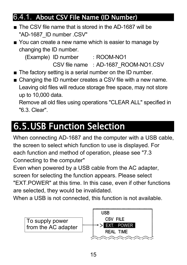### 6.4.1. About CSV File Name (ID Number)

- The CSV file name that is stored in the AD-1687 will be "AD-1687\_ID number .CSV"
- You can create a new name which is easier to manage by changing the ID number.

(Example) ID number : ROOM-NO1

CSV file name : AD-1687 ROOM-NO1.CSV

- The factory setting is a serial number on the ID number.
- Changing the ID number creates a CSV file with a new name. Leaving old files will reduce storage free space, may not store up to 10,000 data.

Remove all old files using operations "CLEAR ALL" specified in "6.3. Clear".

### 6.5.USB Function Selection

When connecting AD-1687 and the computer with a USB cable, the screen to select which function to use is displayed. For each function and method of operation, please see "7.3 Connecting to the computer"

Even when powered by a USB cable from the AC adapter, screen for selecting the function appears. Please select "EXT.POWER" at this time. In this case, even if other functions are selected, they would be invalidated.

When a USB is not connected, this function is not available.

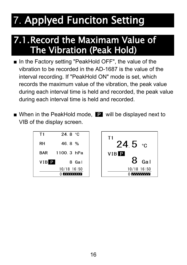# 7. Applyed Funciton Setting

### 7.1.Record the Maximam Value of The Vibration (Peak Hold)

- In the Factory setting "PeakHold OFF", the value of the vibration to be recorded in the AD-1687 is the value of the interval recording. If "PeakHold ON" mode is set, which records the maximum value of the vibration, the peak value during each interval time is held and recorded, the peak value during each interval time is held and recorded.
- When in the PeakHold mode,  $\blacksquare$  will be displayed next to VIB of the display screen.

| Τ1   | 24.8 °C                    |
|------|----------------------------|
| RH   | 46.8%                      |
| BAR  | 1100.3 hPa                 |
| VIBP | 8 Gal                      |
|      | $10/18$ 16:50              |
|      | 0 <i>7 7 7 7 7 7 7 7 7</i> |

 $T<sub>1</sub>$  $24.5$  °c VIBP Ga I  $10/18$  16:50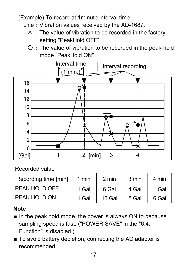#### (Example) To record at 1minute interval time

- Line: Vibration values received by the AD-1687.
	- $\times$  : The value of vibration to be recorded in the factory setting "PeakHold OFF"
	- $O:$  The value of vibration to be recorded in the peak-hold mode "PeakHold ON"



#### Recorded value

| Recording time [min] | 1 min | 2 min  | 3 min | 4 min |
|----------------------|-------|--------|-------|-------|
| <b>PEAK HOLD OFF</b> | 1 Gal | 6 Gal  | 4 Gal | 1 Gal |
| PEAK HOLD ON         | 1 Gal | 15 Gal | 8 Gal | 6 Gal |

#### **Note**

- $\blacksquare$  In the peak hold mode, the power is always ON to because sampling speed is fast. ("POWER SAVE" in the "6.4. Function" is disabled.)
- To avoid battery depletion, connecting the AC adapter is recommended.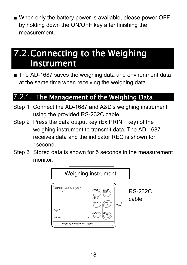<sup>ڦ</sup> When only the battery power is available, please power OFF by holding down the ON/OFF key after finishing the measurement.

### 7.2.Connecting to the Weighing Instrument

■ The AD-1687 saves the weighing data and environment data at the same time when receiving the weighing data.

### 7.2.1. The Management of the Weighing Data

- Step 1 Connect the AD-1687 and A&D's weighing instrument using the provided RS-232C cable.
- Step 2 Press the data output key (Ex.PRINT key) of the weighing instrument to transmit data. The AD-1687 receives data and the indicator REC is shown for 1second.
- Step 3 Stored data is shown for 5 seconds in the measurement monitor.

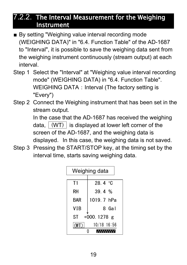#### 7.2.2. The Interval Measurement for the Weighing Instrument

- By setting "Weighing value interval recording mode (WEIGHING DATA)" in "6.4. Function Table" of the AD-1687 to "Interval", it is possible to save the weighing data sent from the weighing instrument continuously (stream output) at each interval.
- Step 1 Select the "Interval" at "Weighing value interval recording mode" (WEIGHING DATA) in "6.4. Function Table". WEIGHING DATA : Interval (The factory setting is "Every")
- Step 2 Connect the Weighing instrument that has been set in the stream output.

 In the case that the AD-1687 has received the weighing data,  $\vert$  (WT)  $\vert$  is displayed at lower left corner of the screen of the AD-1687, and the weighing data is displayed. In this case, the weighing data is not saved.

Step 3 Pressing the START/STOP key, at the timing set by the interval time, starts saving weighing data.

| Weighing data       |                  |  |  |
|---------------------|------------------|--|--|
| T1                  | 28.4 $\degree$ C |  |  |
| RH                  | 39.4 $%$         |  |  |
| <b>BAR</b>          | 1019. 7 hPa      |  |  |
| <b>VIB</b>          | 8 Gal            |  |  |
| ST<br>$+000.1278$ g |                  |  |  |
| (WT)                | $10/18$ 16:56    |  |  |
|                     | 777.             |  |  |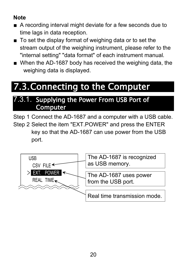#### **Note**

- A recording interval might deviate for a few seconds due to time lags in data reception.
- To set the display format of weighing data or to set the stream output of the weighing instrument, please refer to the "internal setting" "data format" of each instrument manual*.*
- When the AD-1687 body has received the weighing data, the weighing data is displayed.

### 7.3.Connecting to the Computer

#### 7.3.1. Supplying the Power From USB Port of Computer

Step 1 Connect the AD-1687 and a computer with a USB cable. Step 2 Select the item "EXT.POWER" and press the ENTER key so that the AD-1687 can use power from the USB port.

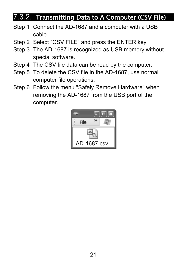### 7.3.2. Transmitting Data to A Computer (CSV File)

- Step 1 Connect the AD-1687 and a computer with a USB cable.
- Step 2 Select "CSV FILE" and press the ENTER key
- Step 3 The AD-1687 is recognized as USB memory without special software.
- Step 4 The CSV file data can be read by the computer.
- Step 5 To delete the CSV file in the AD-1687, use normal computer file operations.
- Step 6 Follow the menu "Safely Remove Hardware" when removing the AD-1687 from the USB port of the computer.

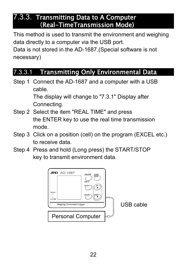#### 7.3.3. Transmitting Data to A Computer (Real-TimeTransmission Mode)

This method is used to transmit the environment and weighing data directly to a computer via the USB port. Data is not stored in the AD-1687.(Special software is not necessary)

#### 7.3.3.1 Transmitting Only Environmental Data

Step 1 Connect the AD-1687 and a computer with a USB cable.

> The display will change to "7.3.1" Display after Connecting.

- Step 2 Select the item "REAL TIME" and press the ENTER key to use the real time transmission mode.
- Step 3 Click on a position (cell) on the program (EXCEL etc.) to receive data.
- Step 4 Press and hold (Long press) the START/STOP key to transmit environment data.

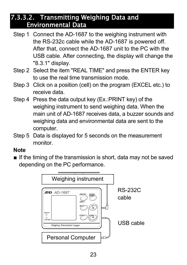#### 7.3.3.2. Transmitting Weighing Data and Environmental Data

- Step 1 Connect the AD-1687 to the weighing instrument with the RS-232c cable while the AD-1687 is powered off. After that, connect the AD-1687 unit to the PC with the USB cable. After connecting, the display will change the "8.3.1" display.
- Step 2 Select the item "REAL TIME" and press the ENTER key to use the real time transmission mode.
- Step 3 Click on a position (cell) on the program (EXCEL etc.) to receive data.
- Step 4 Press the data output key (Ex.:PRINT key) of the weighing instrument to send weighing data. When the main unit of AD-1687 receives data, a buzzer sounds and weighing data and environmental data are sent to the computer.
- Step 5 Data is displayed for 5 seconds on the measurement monitor.

#### **Note**

 $\blacksquare$  If the timing of the transmission is short, data may not be saved depending on the PC performance.

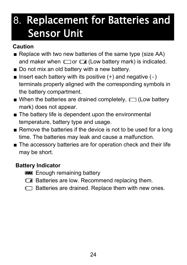### 8. Replacement for Batteries and Sensor Unit

#### **Caution**

- Replace with two new batteries of the same type (size AA) and maker when  $\Box$  or  $\Box$  (Low battery mark) is indicated.
- Do not mix an old battery with a new battery.
- $\blacksquare$  Insert each battery with its positive  $(+)$  and negative  $(-)$ terminals properly aligned with the corresponding symbols in the battery compartment.
- $\blacksquare$  When the batteries are drained completely,  $\blacksquare$  (Low battery mark) does not appear.
- $\blacksquare$  The battery life is dependent upon the environmental temperature, battery type and usage.
- Remove the batteries if the device is not to be used for a long time. The batteries may leak and cause a malfunction.
- The accessory batteries are for operation check and their life may be short.

#### **Battery Indicator**

- **Enough remaining battery**
- **Batteries are low. Recommend replacing them.**
- $\Box$  Batteries are drained. Replace them with new ones.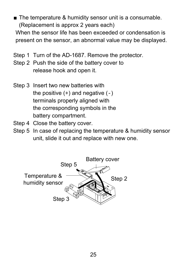■ The temperature & humidity sensor unit is a consumable. (Replacement is approx 2 years each)

 When the sensor life has been exceeded or condensation is present on the sensor, an abnormal value may be displayed.

- Step 1 Turn of the AD-1687. Remove the protector.
- Step 2 Push the side of the battery cover to release hook and open it.
- Step 3 Insert two new batteries with the positive  $(+)$  and negative  $(-)$  terminals properly aligned with the corresponding symbols in the battery compartment.
- Step 4 Close the battery cover.
- Step 5 In case of replacing the temperature & humidity sensor unit, slide it out and replace with new one.

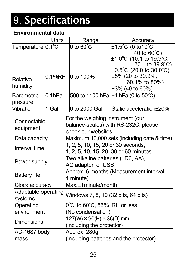# 9. Specifications

#### **Environmental data**

|                              | <b>Units</b>                          | Range                                            | Accuracy                                        |  |
|------------------------------|---------------------------------------|--------------------------------------------------|-------------------------------------------------|--|
| Temperature $ 0.1^{\circ}$ C |                                       | 0 to $60^{\circ}$ C                              | ±1.5°C (0 to 10°C,                              |  |
|                              |                                       |                                                  | 40 to $60^{\circ}$ C)                           |  |
|                              |                                       |                                                  | ±1.0℃ (10.1 to 19.9℃,                           |  |
|                              |                                       |                                                  | 30.1 to $39.9^{\circ}$ C)                       |  |
|                              |                                       |                                                  | $\pm 0.5^{\circ}$ C (20.0 to 30.0 $^{\circ}$ C) |  |
| Relative<br>humidity         | 0.1%RH                                | l0 to 100%                                       | $\pm 5\%$ (20 to 39.9%,                         |  |
|                              |                                       |                                                  | 60.1% to $80\%$ )<br>$\pm 3\%$ (40 to 60%)      |  |
| <b>Barometric</b>            | 0.1 <sub>hPa</sub>                    |                                                  | 500 to 1100 hPa $\pm$ 4 hPa (0 to 50°C)         |  |
| pressure                     |                                       |                                                  |                                                 |  |
| <b>Vibration</b>             | 1 Gal                                 | 0 to 2000 Gal                                    | Static acceleration ± 20%                       |  |
|                              |                                       | For the weighing instrument (our                 |                                                 |  |
| Connectable                  |                                       | balance-scales) with RS-232C, please             |                                                 |  |
| equipment                    |                                       | check our websites.                              |                                                 |  |
| Data capacity                |                                       | Maximum 10,000 sets (including date & time)      |                                                 |  |
| Interval time                |                                       | 1, 2, 5, 10, 15, 20 or 30 seconds,               |                                                 |  |
|                              | 1, 2, 5, 10, 15, 20, 30 or 60 minutes |                                                  |                                                 |  |
| Power supply                 |                                       | Two alkaline batteries (LR6, AA),                |                                                 |  |
|                              |                                       | AC adaptor, or USB                               |                                                 |  |
| <b>Battery life</b>          |                                       | Approx. 6 months (Measurement interval:          |                                                 |  |
|                              |                                       | 1 minute)                                        |                                                 |  |
| Clock accuracy               |                                       | $Max.±1$ minute/month                            |                                                 |  |
| Adaptable operating          |                                       | Windows 7, 8, 10 (32 bits, 64 bits)              |                                                 |  |
| systems                      |                                       |                                                  |                                                 |  |
| Operating                    |                                       | $0^{\circ}$ C to 60 $^{\circ}$ C, 85% RH or less |                                                 |  |
| environment                  |                                       | (No condensation)                                |                                                 |  |
| <b>Dimensions</b>            |                                       | $127(W) \times 90(H) \times 36(D)$ mm            |                                                 |  |
|                              |                                       | (including the protector)                        |                                                 |  |
| AD-1687 body                 |                                       | Approx. 280g                                     |                                                 |  |
| mass                         |                                       | (including batteries and the protector)          |                                                 |  |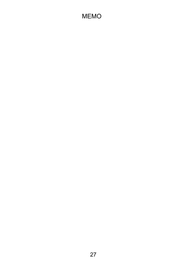#### MEMO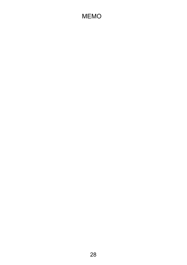#### MEMO